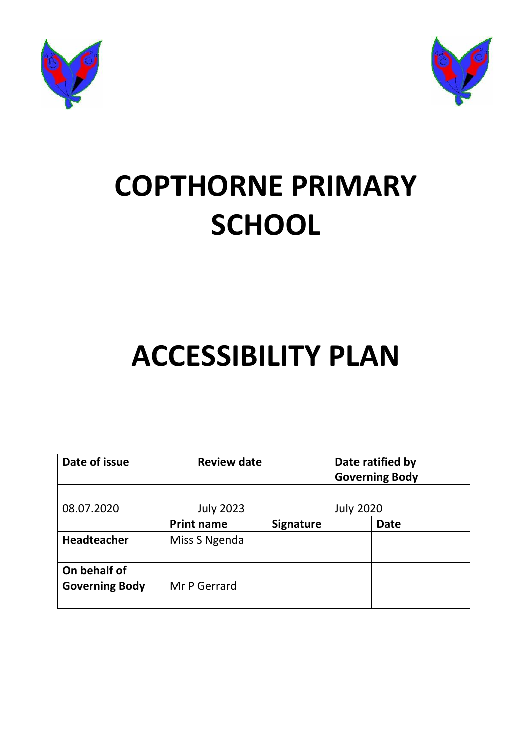



# **COPTHORNE PRIMARY SCHOOL**

## **ACCESSIBILITY PLAN**

| Date of issue                         |                   | <b>Review date</b> |                  | Date ratified by<br><b>Governing Body</b> |             |
|---------------------------------------|-------------------|--------------------|------------------|-------------------------------------------|-------------|
| 08.07.2020                            |                   | <b>July 2023</b>   |                  | <b>July 2020</b>                          |             |
|                                       | <b>Print name</b> |                    | <b>Signature</b> |                                           | <b>Date</b> |
| <b>Headteacher</b>                    |                   | Miss S Ngenda      |                  |                                           |             |
| On behalf of<br><b>Governing Body</b> |                   | Mr P Gerrard       |                  |                                           |             |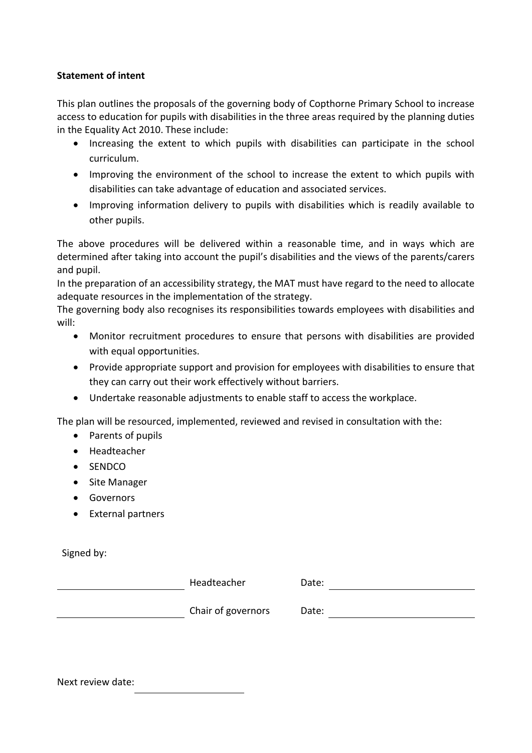#### **Statement of intent**

This plan outlines the proposals of the governing body of Copthorne Primary School to increase access to education for pupils with disabilities in the three areas required by the planning duties in the Equality Act 2010. These include:

- Increasing the extent to which pupils with disabilities can participate in the school curriculum.
- Improving the environment of the school to increase the extent to which pupils with disabilities can take advantage of education and associated services.
- Improving information delivery to pupils with disabilities which is readily available to other pupils.

The above procedures will be delivered within a reasonable time, and in ways which are determined after taking into account the pupil's disabilities and the views of the parents/carers and pupil.

In the preparation of an accessibility strategy, the MAT must have regard to the need to allocate adequate resources in the implementation of the strategy.

The governing body also recognises its responsibilities towards employees with disabilities and will:

- Monitor recruitment procedures to ensure that persons with disabilities are provided with equal opportunities.
- Provide appropriate support and provision for employees with disabilities to ensure that they can carry out their work effectively without barriers.
- Undertake reasonable adjustments to enable staff to access the workplace.

The plan will be resourced, implemented, reviewed and revised in consultation with the:

- Parents of pupils
- Headteacher
- SENDCO
- Site Manager
- Governors
- External partners

Signed by:

Headteacher Date:

chair of governors Date:

Next review date: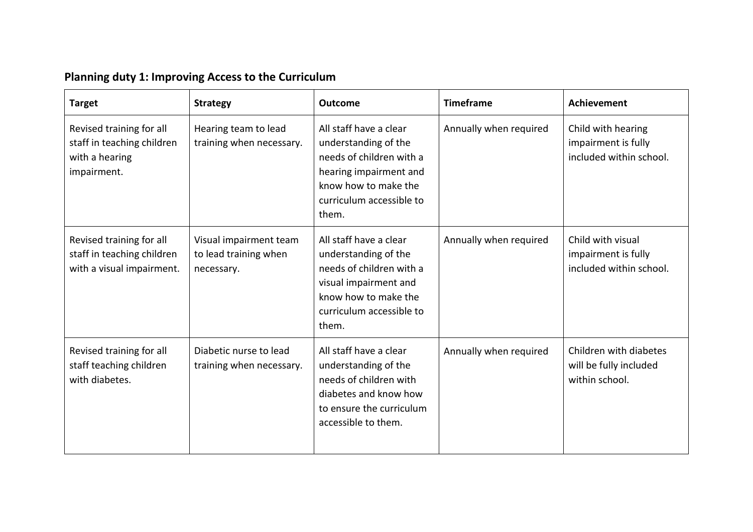| <b>Planning duty 1: Improving Access to the Curriculum</b> |  |  |  |  |  |
|------------------------------------------------------------|--|--|--|--|--|
|------------------------------------------------------------|--|--|--|--|--|

| <b>Target</b>                                                                           | <b>Strategy</b>                                               | <b>Outcome</b>                                                                                                                                                    | <b>Timeframe</b>       | <b>Achievement</b>                                                   |
|-----------------------------------------------------------------------------------------|---------------------------------------------------------------|-------------------------------------------------------------------------------------------------------------------------------------------------------------------|------------------------|----------------------------------------------------------------------|
| Revised training for all<br>staff in teaching children<br>with a hearing<br>impairment. | Hearing team to lead<br>training when necessary.              | All staff have a clear<br>understanding of the<br>needs of children with a<br>hearing impairment and<br>know how to make the<br>curriculum accessible to<br>them. | Annually when required | Child with hearing<br>impairment is fully<br>included within school. |
| Revised training for all<br>staff in teaching children<br>with a visual impairment.     | Visual impairment team<br>to lead training when<br>necessary. | All staff have a clear<br>understanding of the<br>needs of children with a<br>visual impairment and<br>know how to make the<br>curriculum accessible to<br>them.  | Annually when required | Child with visual<br>impairment is fully<br>included within school.  |
| Revised training for all<br>staff teaching children<br>with diabetes.                   | Diabetic nurse to lead<br>training when necessary.            | All staff have a clear<br>understanding of the<br>needs of children with<br>diabetes and know how<br>to ensure the curriculum<br>accessible to them.              | Annually when required | Children with diabetes<br>will be fully included<br>within school.   |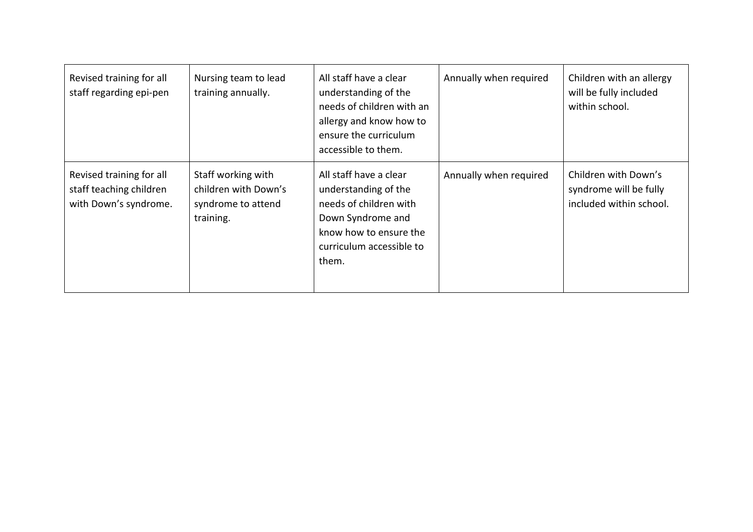| Revised training for all<br>staff regarding epi-pen                          | Nursing team to lead<br>training annually.                                    | All staff have a clear<br>understanding of the<br>needs of children with an<br>allergy and know how to<br>ensure the curriculum<br>accessible to them.       | Annually when required | Children with an allergy<br>will be fully included<br>within school.      |
|------------------------------------------------------------------------------|-------------------------------------------------------------------------------|--------------------------------------------------------------------------------------------------------------------------------------------------------------|------------------------|---------------------------------------------------------------------------|
| Revised training for all<br>staff teaching children<br>with Down's syndrome. | Staff working with<br>children with Down's<br>syndrome to attend<br>training. | All staff have a clear<br>understanding of the<br>needs of children with<br>Down Syndrome and<br>know how to ensure the<br>curriculum accessible to<br>them. | Annually when required | Children with Down's<br>syndrome will be fully<br>included within school. |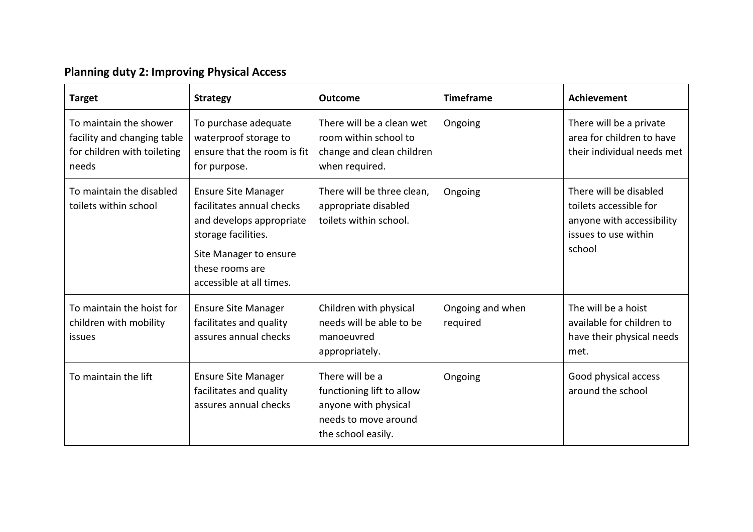## **Planning duty 2: Improving Physical Access**

| <b>Target</b>                                                                                 | <b>Strategy</b>                                                                                                                                                                     | <b>Outcome</b>                                                                                                     | <b>Timeframe</b>             | <b>Achievement</b>                                                                                              |
|-----------------------------------------------------------------------------------------------|-------------------------------------------------------------------------------------------------------------------------------------------------------------------------------------|--------------------------------------------------------------------------------------------------------------------|------------------------------|-----------------------------------------------------------------------------------------------------------------|
| To maintain the shower<br>facility and changing table<br>for children with toileting<br>needs | To purchase adequate<br>waterproof storage to<br>ensure that the room is fit<br>for purpose.                                                                                        | There will be a clean wet<br>room within school to<br>change and clean children<br>when required.                  | Ongoing                      | There will be a private<br>area for children to have<br>their individual needs met                              |
| To maintain the disabled<br>toilets within school                                             | <b>Ensure Site Manager</b><br>facilitates annual checks<br>and develops appropriate<br>storage facilities.<br>Site Manager to ensure<br>these rooms are<br>accessible at all times. | There will be three clean,<br>appropriate disabled<br>toilets within school.                                       | Ongoing                      | There will be disabled<br>toilets accessible for<br>anyone with accessibility<br>issues to use within<br>school |
| To maintain the hoist for<br>children with mobility<br>issues                                 | <b>Ensure Site Manager</b><br>facilitates and quality<br>assures annual checks                                                                                                      | Children with physical<br>needs will be able to be<br>manoeuvred<br>appropriately.                                 | Ongoing and when<br>required | The will be a hoist<br>available for children to<br>have their physical needs<br>met.                           |
| To maintain the lift                                                                          | <b>Ensure Site Manager</b><br>facilitates and quality<br>assures annual checks                                                                                                      | There will be a<br>functioning lift to allow<br>anyone with physical<br>needs to move around<br>the school easily. | Ongoing                      | Good physical access<br>around the school                                                                       |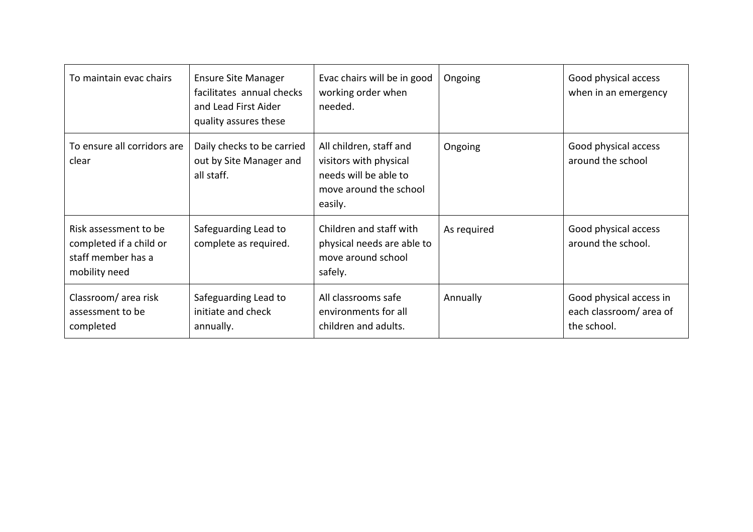| To maintain evac chairs                                                                 | <b>Ensure Site Manager</b><br>facilitates annual checks<br>and Lead First Aider<br>quality assures these | Evac chairs will be in good<br>working order when<br>needed.                                                    | Ongoing     | Good physical access<br>when in an emergency                     |
|-----------------------------------------------------------------------------------------|----------------------------------------------------------------------------------------------------------|-----------------------------------------------------------------------------------------------------------------|-------------|------------------------------------------------------------------|
| To ensure all corridors are<br>clear                                                    | Daily checks to be carried<br>out by Site Manager and<br>all staff.                                      | All children, staff and<br>visitors with physical<br>needs will be able to<br>move around the school<br>easily. | Ongoing     | Good physical access<br>around the school                        |
| Risk assessment to be<br>completed if a child or<br>staff member has a<br>mobility need | Safeguarding Lead to<br>complete as required.                                                            | Children and staff with<br>physical needs are able to<br>move around school<br>safely.                          | As required | Good physical access<br>around the school.                       |
| Classroom/area risk<br>assessment to be<br>completed                                    | Safeguarding Lead to<br>initiate and check<br>annually.                                                  | All classrooms safe<br>environments for all<br>children and adults.                                             | Annually    | Good physical access in<br>each classroom/area of<br>the school. |